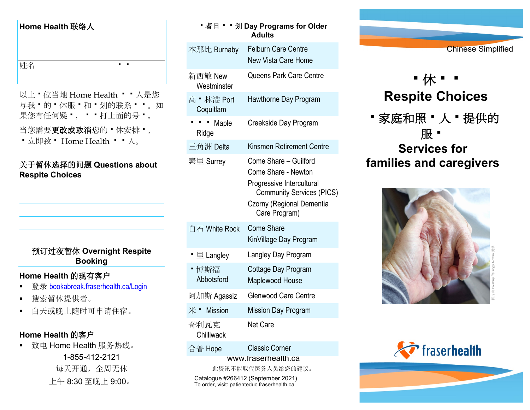#### **Home Health** 联络人

姓名 インファイル エイト・エム

以上 • 位当地 Home Health • • 人是您 与我'的'休服'和'划的联系''。如 果您有任何疑 ", " " 打上面的号 " 。

当您需要更改或取消您的 • 休安排 •,

• 立即致 • Home Health • • 人。

#### 关于暂休选择的问题 **Questions about Respite Choices**

## 预订过夜暂休 **Overnight Respite Booking**

### **Home Health** 的现有客户

- 登录 [bookabreak.fraserhealth.ca/Login](https://bookabreak.fraserhealth.ca/Login)
- 搜索暂休提供者。
- 白天或晚上随时可申请住宿。

## **Home Health** 的客户

■ 致电 Home Health 服务热线。 1-855-412-2121 每天开通,全周无休 上午 8:30 至晚上 9:00。

| ■者日 ■ ■ 划 Day Programs for Older<br>Adults |                                                                                                                                                             |
|--------------------------------------------|-------------------------------------------------------------------------------------------------------------------------------------------------------------|
| 本那比 Burnaby                                | <b>Felburn Care Centre</b><br><b>New Vista Care Home</b>                                                                                                    |
| 新西敏 New<br>Westminster                     | Queens Park Care Centre                                                                                                                                     |
| 高 • 林港 Port<br>Coquitlam                   | Hawthorne Day Program                                                                                                                                       |
| Maple<br>Ridge                             | Creekside Day Program                                                                                                                                       |
| 三角洲 Delta                                  | Kinsmen Retirement Centre                                                                                                                                   |
| 素里 Surrey                                  | Come Share - Guilford<br>Come Share - Newton<br>Progressive Intercultural<br><b>Community Services (PICS)</b><br>Czorny (Regional Dementia<br>Care Program) |
| 白石 White Rock                              | <b>Come Share</b><br>KinVillage Day Program                                                                                                                 |
| 里 Langley                                  | Langley Day Program                                                                                                                                         |
| ▪ 博斯福<br>Abbotsford                        | Cottage Day Program<br>Maplewood House                                                                                                                      |
| 阿加斯 Agassiz                                | <b>Glenwood Care Centre</b>                                                                                                                                 |
| $*$ $\blacksquare$ Mission                 | <b>Mission Day Program</b>                                                                                                                                  |
| 奇利瓦克<br>Chilliwack                         | Net Care                                                                                                                                                    |
| 合普 Hope                                    | <b>Classic Corner</b>                                                                                                                                       |
| www.fraserhealth.ca<br>此资讯不能取代医务人员给您的建议。   |                                                                                                                                                             |

Catalogue #266412 (September 2021) To order, visit: patienteduc.fraserhealth.ca



# •休·· **Respite Choices**

•家庭和照 • 人 • 提供的 服 -

# **Services for families and caregivers**